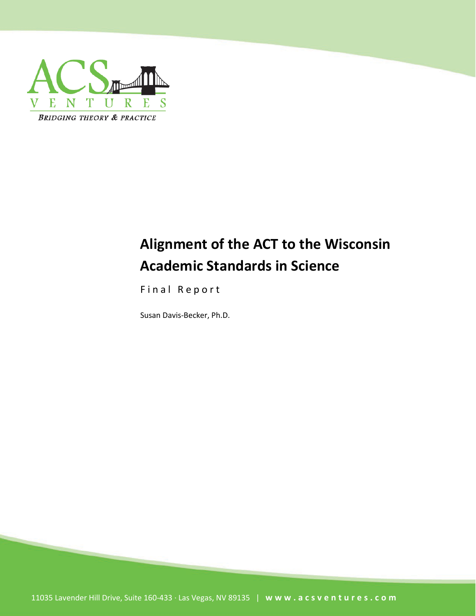

# **Alignment of the ACT to the Wisconsin Academic Standards in Science**

Final Report

Susan Davis-Becker, Ph.D.

11035 Lavender Hill Drive, Suite 160-433 · Las Vegas, NV 89135 | **[www.acsventures.com](http://www.acsventures.com/)**

ACS Ventures, LLC – Bridging Theory & Practice

Page **1** of **19**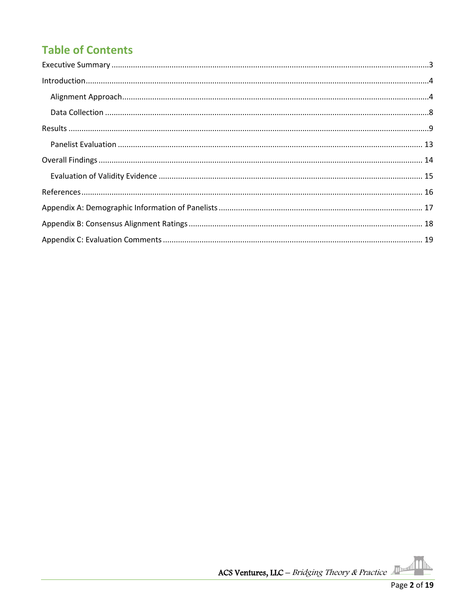# **Table of Contents**



 $\mathbb P$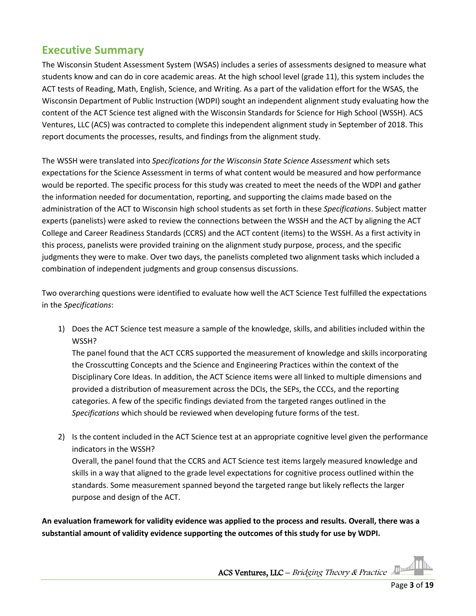### <span id="page-2-0"></span>**Executive Summary**

The Wisconsin Student Assessment System (WSAS) includes a series of assessments designed to measure what students know and can do in core academic areas. At the high school level (grade 11), this system includes the ACT tests of Reading, Math, English, Science, and Writing. As a part of the validation effort for the WSAS, the Wisconsin Department of Public Instruction (WDPI) sought an independent alignment study evaluating how the content of the ACT Science test aligned with the Wisconsin Standards for Science for High School (WSSH). ACS Ventures, LLC (ACS) was contracted to complete this independent alignment study in September of 2018. This report documents the processes, results, and findings from the alignment study.

The WSSH were translated into *Specifications for the Wisconsin State Science Assessment* which sets expectations for the Science Assessment in terms of what content would be measured and how performance would be reported. The specific process for this study was created to meet the needs of the WDPI and gather the information needed for documentation, reporting, and supporting the claims made based on the administration of the ACT to Wisconsin high school students as set forth in these *Specifications*. Subject matter experts (panelists) were asked to review the connections between the WSSH and the ACT by aligning the ACT College and Career Readiness Standards (CCRS) and the ACT content (items) to the WSSH. As a first activity in this process, panelists were provided training on the alignment study purpose, process, and the specific judgments they were to make. Over two days, the panelists completed two alignment tasks which included a combination of independent judgments and group consensus discussions.

Two overarching questions were identified to evaluate how well the ACT Science Test fulfilled the expectations in the *Specifications*:

1) Does the ACT Science test measure a sample of the knowledge, skills, and abilities included within the WSSH?

The panel found that the ACT CCRS supported the measurement of knowledge and skills incorporating the Crosscutting Concepts and the Science and Engineering Practices within the context of the Disciplinary Core Ideas. In addition, the ACT Science items were all linked to multiple dimensions and provided a distribution of measurement across the DCIs, the SEPs, the CCCs, and the reporting categories. A few of the specific findings deviated from the targeted ranges outlined in the *Specifications* which should be reviewed when developing future forms of the test.

2) Is the content included in the ACT Science test at an appropriate cognitive level given the performance indicators in the WSSH? Overall, the panel found that the CCRS and ACT Science test items largely measured knowledge and skills in a way that aligned to the grade level expectations for cognitive process outlined within the standards. Some measurement spanned beyond the targeted range but likely reflects the larger purpose and design of the ACT.

**An evaluation framework for validity evidence was applied to the process and results. Overall, there was a substantial amount of validity evidence supporting the outcomes of this study for use by WDPI.**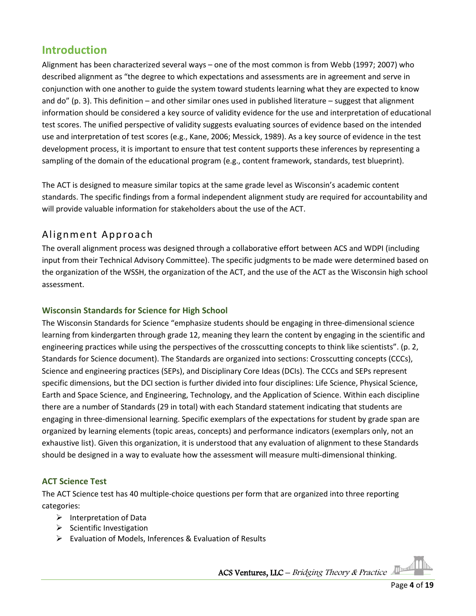### <span id="page-3-0"></span>**Introduction**

Alignment has been characterized several ways – one of the most common is from Webb (1997; 2007) who described alignment as "the degree to which expectations and assessments are in agreement and serve in conjunction with one another to guide the system toward students learning what they are expected to know and do" (p. 3). This definition – and other similar ones used in published literature – suggest that alignment information should be considered a key source of validity evidence for the use and interpretation of educational test scores. The unified perspective of validity suggests evaluating sources of evidence based on the intended use and interpretation of test scores (e.g., Kane, 2006; Messick, 1989). As a key source of evidence in the test development process, it is important to ensure that test content supports these inferences by representing a sampling of the domain of the educational program (e.g., content framework, standards, test blueprint).

The ACT is designed to measure similar topics at the same grade level as Wisconsin's academic content standards. The specific findings from a formal independent alignment study are required for accountability and will provide valuable information for stakeholders about the use of the ACT.

### <span id="page-3-1"></span>Alignment Approach

The overall alignment process was designed through a collaborative effort between ACS and WDPI (including input from their Technical Advisory Committee). The specific judgments to be made were determined based on the organization of the WSSH, the organization of the ACT, and the use of the ACT as the Wisconsin high school assessment.

#### **Wisconsin Standards for Science for High School**

The Wisconsin Standards for Science "emphasize students should be engaging in three-dimensional science learning from kindergarten through grade 12, meaning they learn the content by engaging in the scientific and engineering practices while using the perspectives of the crosscutting concepts to think like scientists". (p. 2, Standards for Science document). The Standards are organized into sections: Crosscutting concepts (CCCs), Science and engineering practices (SEPs), and Disciplinary Core Ideas (DCIs). The CCCs and SEPs represent specific dimensions, but the DCI section is further divided into four disciplines: Life Science, Physical Science, Earth and Space Science, and Engineering, Technology, and the Application of Science. Within each discipline there are a number of Standards (29 in total) with each Standard statement indicating that students are engaging in three-dimensional learning. Specific exemplars of the expectations for student by grade span are organized by learning elements (topic areas, concepts) and performance indicators (exemplars only, not an exhaustive list). Given this organization, it is understood that any evaluation of alignment to these Standards should be designed in a way to evaluate how the assessment will measure multi-dimensional thinking.

#### **ACT Science Test**

The ACT Science test has 40 multiple-choice questions per form that are organized into three reporting categories:

- $\triangleright$  Interpretation of Data
- $\triangleright$  Scientific Investigation
- Evaluation of Models, Inferences & Evaluation of Results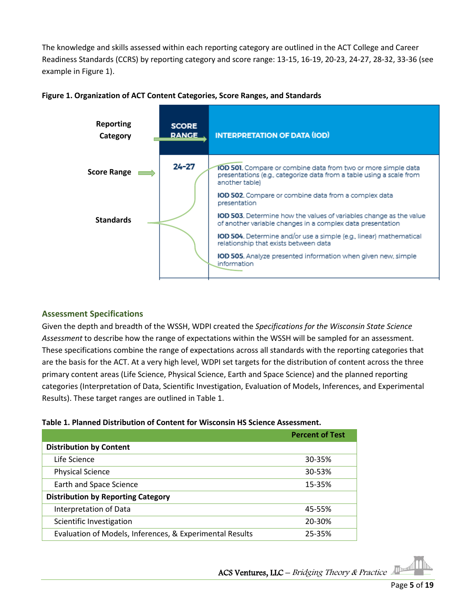The knowledge and skills assessed within each reporting category are outlined in the ACT College and Career Readiness Standards (CCRS) by reporting category and score range: 13-15, 16-19, 20-23, 24-27, 28-32, 33-36 (see example in Figure 1).





#### **Assessment Specifications**

Given the depth and breadth of the WSSH, WDPI created the *Specifications for the Wisconsin State Science Assessment* to describe how the range of expectations within the WSSH will be sampled for an assessment. These specifications combine the range of expectations across all standards with the reporting categories that are the basis for the ACT. At a very high level, WDPI set targets for the distribution of content across the three primary content areas (Life Science, Physical Science, Earth and Space Science) and the planned reporting categories (Interpretation of Data, Scientific Investigation, Evaluation of Models, Inferences, and Experimental Results). These target ranges are outlined in Table 1.

#### **Table 1. Planned Distribution of Content for Wisconsin HS Science Assessment.**

|                                                          | <b>Percent of Test</b> |
|----------------------------------------------------------|------------------------|
| <b>Distribution by Content</b>                           |                        |
| Life Science                                             | 30-35%                 |
| <b>Physical Science</b>                                  | 30-53%                 |
| Earth and Space Science                                  | 15-35%                 |
| <b>Distribution by Reporting Category</b>                |                        |
| Interpretation of Data                                   | 45-55%                 |
| Scientific Investigation                                 | 20-30%                 |
| Evaluation of Models, Inferences, & Experimental Results | 25-35%                 |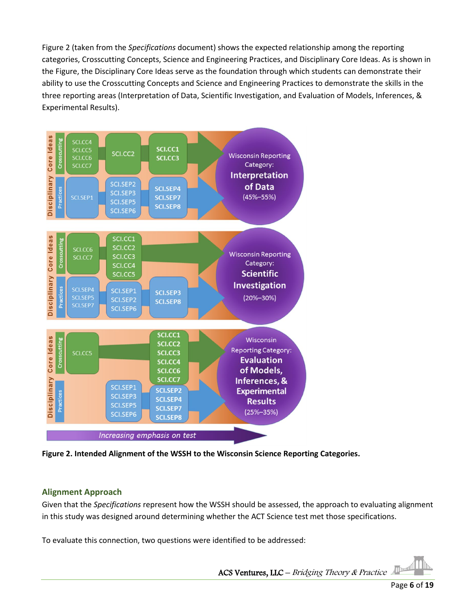Figure 2 (taken from the *Specifications* document) shows the expected relationship among the reporting categories, Crosscutting Concepts, Science and Engineering Practices, and Disciplinary Core Ideas. As is shown in the Figure, the Disciplinary Core Ideas serve as the foundation through which students can demonstrate their ability to use the Crosscutting Concepts and Science and Engineering Practices to demonstrate the skills in the three reporting areas (Interpretation of Data, Scientific Investigation, and Evaluation of Models, Inferences, & Experimental Results).



**Figure 2. Intended Alignment of the WSSH to the Wisconsin Science Reporting Categories.** 

#### **Alignment Approach**

Given that the *Specifications* represent how the WSSH should be assessed, the approach to evaluating alignment in this study was designed around determining whether the ACT Science test met those specifications.

To evaluate this connection, two questions were identified to be addressed:

The Theorem ACS Ventures, LLC – Bridging Theory & Practice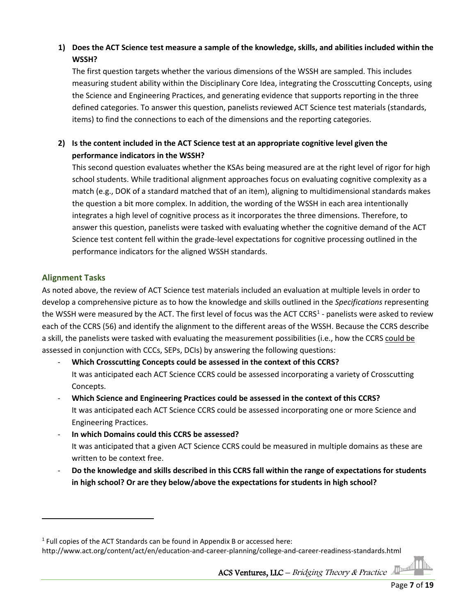#### **1) Does the ACT Science test measure a sample of the knowledge, skills, and abilities included within the WSSH?**

The first question targets whether the various dimensions of the WSSH are sampled. This includes measuring student ability within the Disciplinary Core Idea, integrating the Crosscutting Concepts, using the Science and Engineering Practices, and generating evidence that supports reporting in the three defined categories. To answer this question, panelists reviewed ACT Science test materials (standards, items) to find the connections to each of the dimensions and the reporting categories.

#### **2) Is the content included in the ACT Science test at an appropriate cognitive level given the performance indicators in the WSSH?**

This second question evaluates whether the KSAs being measured are at the right level of rigor for high school students. While traditional alignment approaches focus on evaluating cognitive complexity as a match (e.g., DOK of a standard matched that of an item), aligning to multidimensional standards makes the question a bit more complex. In addition, the wording of the WSSH in each area intentionally integrates a high level of cognitive process as it incorporates the three dimensions. Therefore, to answer this question, panelists were tasked with evaluating whether the cognitive demand of the ACT Science test content fell within the grade-level expectations for cognitive processing outlined in the performance indicators for the aligned WSSH standards.

#### **Alignment Tasks**

As noted above, the review of ACT Science test materials included an evaluation at multiple levels in order to develop a comprehensive picture as to how the knowledge and skills outlined in the *Specifications* representing the WSSH were measured by the ACT. The first level of focus was the ACT CCRS<sup>[1](#page-6-0)</sup> - panelists were asked to review each of the CCRS (56) and identify the alignment to the different areas of the WSSH. Because the CCRS describe a skill, the panelists were tasked with evaluating the measurement possibilities (i.e., how the CCRS could be assessed in conjunction with CCCs, SEPs, DCIs) by answering the following questions:

- **Which Crosscutting Concepts could be assessed in the context of this CCRS?** It was anticipated each ACT Science CCRS could be assessed incorporating a variety of Crosscutting Concepts.
- **Which Science and Engineering Practices could be assessed in the context of this CCRS?** It was anticipated each ACT Science CCRS could be assessed incorporating one or more Science and Engineering Practices.
- In which Domains could this CCRS be assessed? It was anticipated that a given ACT Science CCRS could be measured in multiple domains as these are written to be context free.
- **Do the knowledge and skills described in this CCRS fall within the range of expectations for students in high school? Or are they below/above the expectations for students in high school?**

<span id="page-6-0"></span> $1$  Full copies of the ACT Standards can be found in Appendix B or accessed here:

http://www.act.org/content/act/en/education-and-career-planning/college-and-career-readiness-standards.html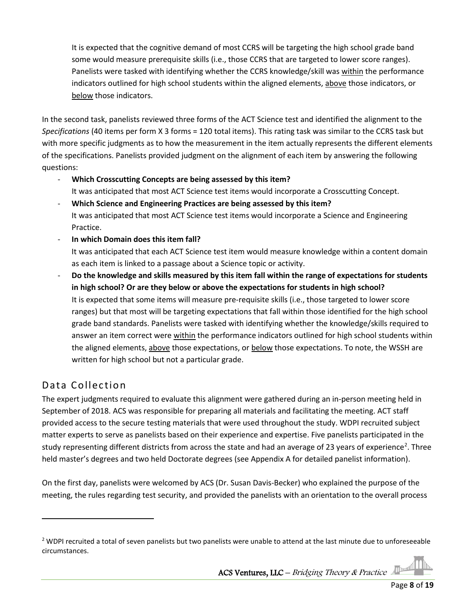It is expected that the cognitive demand of most CCRS will be targeting the high school grade band some would measure prerequisite skills (i.e., those CCRS that are targeted to lower score ranges). Panelists were tasked with identifying whether the CCRS knowledge/skill was within the performance indicators outlined for high school students within the aligned elements, above those indicators, or below those indicators.

In the second task, panelists reviewed three forms of the ACT Science test and identified the alignment to the *Specifications* (40 items per form X 3 forms = 120 total items). This rating task was similar to the CCRS task but with more specific judgments as to how the measurement in the item actually represents the different elements of the specifications. Panelists provided judgment on the alignment of each item by answering the following questions:

- **Which Crosscutting Concepts are being assessed by this item?** It was anticipated that most ACT Science test items would incorporate a Crosscutting Concept.
- **Which Science and Engineering Practices are being assessed by this item?** It was anticipated that most ACT Science test items would incorporate a Science and Engineering Practice.
- **In which Domain does this item fall?**

It was anticipated that each ACT Science test item would measure knowledge within a content domain as each item is linked to a passage about a Science topic or activity.

- **Do the knowledge and skills measured by this item fall within the range of expectations for students in high school? Or are they below or above the expectations for students in high school?**  It is expected that some items will measure pre-requisite skills (i.e., those targeted to lower score ranges) but that most will be targeting expectations that fall within those identified for the high school grade band standards. Panelists were tasked with identifying whether the knowledge/skills required to answer an item correct were within the performance indicators outlined for high school students within the aligned elements, above those expectations, or below those expectations. To note, the WSSH are written for high school but not a particular grade.

### <span id="page-7-0"></span>Data Collection

The expert judgments required to evaluate this alignment were gathered during an in-person meeting held in September of 2018. ACS was responsible for preparing all materials and facilitating the meeting. ACT staff provided access to the secure testing materials that were used throughout the study. WDPI recruited subject matter experts to serve as panelists based on their experience and expertise. Five panelists participated in the study representing different districts from across the state and had an average of [2](#page-7-1)3 years of experience<sup>2</sup>. Three held master's degrees and two held Doctorate degrees (see Appendix A for detailed panelist information).

On the first day, panelists were welcomed by ACS (Dr. Susan Davis-Becker) who explained the purpose of the meeting, the rules regarding test security, and provided the panelists with an orientation to the overall process

<span id="page-7-1"></span> $2$  WDPI recruited a total of seven panelists but two panelists were unable to attend at the last minute due to unforeseeable circumstances.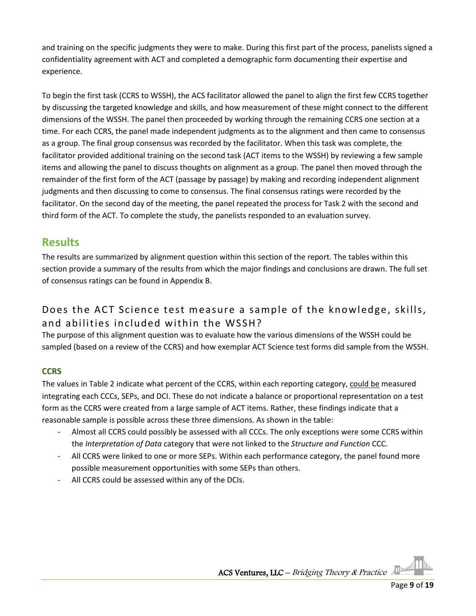and training on the specific judgments they were to make. During this first part of the process, panelists signed a confidentiality agreement with ACT and completed a demographic form documenting their expertise and experience.

To begin the first task (CCRS to WSSH), the ACS facilitator allowed the panel to align the first few CCRS together by discussing the targeted knowledge and skills, and how measurement of these might connect to the different dimensions of the WSSH. The panel then proceeded by working through the remaining CCRS one section at a time. For each CCRS, the panel made independent judgments as to the alignment and then came to consensus as a group. The final group consensus was recorded by the facilitator. When this task was complete, the facilitator provided additional training on the second task (ACT items to the WSSH) by reviewing a few sample items and allowing the panel to discuss thoughts on alignment as a group. The panel then moved through the remainder of the first form of the ACT (passage by passage) by making and recording independent alignment judgments and then discussing to come to consensus. The final consensus ratings were recorded by the facilitator. On the second day of the meeting, the panel repeated the process for Task 2 with the second and third form of the ACT. To complete the study, the panelists responded to an evaluation survey.

### <span id="page-8-0"></span>**Results**

The results are summarized by alignment question within this section of the report. The tables within this section provide a summary of the results from which the major findings and conclusions are drawn. The full set of consensus ratings can be found in Appendix B.

### Does the ACT Science test measure a sample of the knowledge, skills, and abilities included within the WSSH?

The purpose of this alignment question was to evaluate how the various dimensions of the WSSH could be sampled (based on a review of the CCRS) and how exemplar ACT Science test forms did sample from the WSSH.

#### **CCRS**

The values in Table 2 indicate what percent of the CCRS, within each reporting category, could be measured integrating each CCCs, SEPs, and DCI. These do not indicate a balance or proportional representation on a test form as the CCRS were created from a large sample of ACT items. Rather, these findings indicate that a reasonable sample is possible across these three dimensions. As shown in the table:

- Almost all CCRS could possibly be assessed with all CCCs. The only exceptions were some CCRS within the *Interpretation of Data* category that were not linked to the *Structure and Function* CCC.
- All CCRS were linked to one or more SEPs. Within each performance category, the panel found more possible measurement opportunities with some SEPs than others.
- All CCRS could be assessed within any of the DCIs.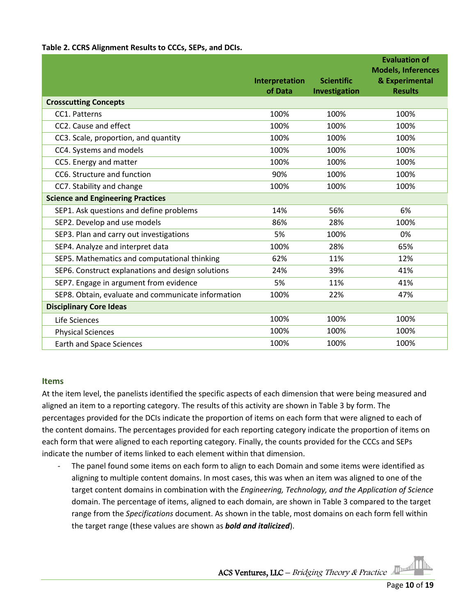#### **Table 2. CCRS Alignment Results to CCCs, SEPs, and DCIs.**

|                                                    | Interpretation<br>of Data | <b>Scientific</b><br>Investigation | <b>Evaluation of</b><br><b>Models, Inferences</b><br>& Experimental<br><b>Results</b> |
|----------------------------------------------------|---------------------------|------------------------------------|---------------------------------------------------------------------------------------|
| <b>Crosscutting Concepts</b>                       |                           |                                    |                                                                                       |
| CC1. Patterns                                      | 100%                      | 100%                               | 100%                                                                                  |
| CC2. Cause and effect                              | 100%                      | 100%                               | 100%                                                                                  |
| CC3. Scale, proportion, and quantity               | 100%                      | 100%                               | 100%                                                                                  |
| CC4. Systems and models                            | 100%                      | 100%                               | 100%                                                                                  |
| CC5. Energy and matter                             | 100%                      | 100%                               | 100%                                                                                  |
| CC6. Structure and function                        | 90%                       | 100%                               | 100%                                                                                  |
| CC7. Stability and change                          | 100%                      | 100%                               | 100%                                                                                  |
| <b>Science and Engineering Practices</b>           |                           |                                    |                                                                                       |
| SEP1. Ask questions and define problems            | 14%                       | 56%                                | 6%                                                                                    |
| SEP2. Develop and use models                       | 86%                       | 28%                                | 100%                                                                                  |
| SEP3. Plan and carry out investigations            | 5%                        | 100%                               | 0%                                                                                    |
| SEP4. Analyze and interpret data                   | 100%                      | 28%                                | 65%                                                                                   |
| SEP5. Mathematics and computational thinking       | 62%                       | 11%                                | 12%                                                                                   |
| SEP6. Construct explanations and design solutions  | 24%                       | 39%                                | 41%                                                                                   |
| SEP7. Engage in argument from evidence             | 5%                        | 11%                                | 41%                                                                                   |
| SEP8. Obtain, evaluate and communicate information | 100%                      | 22%                                | 47%                                                                                   |
| <b>Disciplinary Core Ideas</b>                     |                           |                                    |                                                                                       |
| Life Sciences                                      | 100%                      | 100%                               | 100%                                                                                  |
| <b>Physical Sciences</b>                           | 100%                      | 100%                               | 100%                                                                                  |
| <b>Earth and Space Sciences</b>                    | 100%                      | 100%                               | 100%                                                                                  |

#### **Items**

At the item level, the panelists identified the specific aspects of each dimension that were being measured and aligned an item to a reporting category. The results of this activity are shown in Table 3 by form. The percentages provided for the DCIs indicate the proportion of items on each form that were aligned to each of the content domains. The percentages provided for each reporting category indicate the proportion of items on each form that were aligned to each reporting category. Finally, the counts provided for the CCCs and SEPs indicate the number of items linked to each element within that dimension.

- The panel found some items on each form to align to each Domain and some items were identified as aligning to multiple content domains. In most cases, this was when an item was aligned to one of the target content domains in combination with the *Engineering, Technology, and the Application of Science* domain. The percentage of items, aligned to each domain, are shown in Table 3 compared to the target range from the *Specifications* document. As shown in the table, most domains on each form fell within the target range (these values are shown as *bold and italicized*).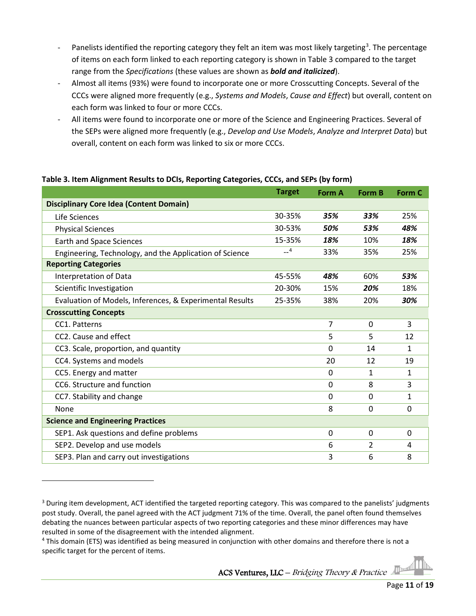- Panelists identified the reporting category they felt an item was most likely targeting<sup>[3](#page-10-0)</sup>. The percentage of items on each form linked to each reporting category is shown in Table 3 compared to the target range from the *Specifications* (these values are shown as *bold and italicized*).
- Almost all items (93%) were found to incorporate one or more Crosscutting Concepts. Several of the CCCs were aligned more frequently (e.g., *Systems and Models*, *Cause and Effect*) but overall, content on each form was linked to four or more CCCs.
- All items were found to incorporate one or more of the Science and Engineering Practices. Several of the SEPs were aligned more frequently (e.g., *Develop and Use Models*, *Analyze and Interpret Data*) but overall, content on each form was linked to six or more CCCs.

|                                                          | <b>Target</b> | <b>Form A</b> | <b>Form B</b>  | Form C       |
|----------------------------------------------------------|---------------|---------------|----------------|--------------|
| <b>Disciplinary Core Idea (Content Domain)</b>           |               |               |                |              |
| Life Sciences                                            | 30-35%        | 35%           | 33%            | 25%          |
| <b>Physical Sciences</b>                                 | 30-53%        | 50%           | 53%            | 48%          |
| <b>Earth and Space Sciences</b>                          | 15-35%        | 18%           | 10%            | 18%          |
| Engineering, Technology, and the Application of Science  | $-4$          | 33%           | 35%            | 25%          |
| <b>Reporting Categories</b>                              |               |               |                |              |
| Interpretation of Data                                   | 45-55%        | 48%           | 60%            | 53%          |
| Scientific Investigation                                 | 20-30%        | 15%           | 20%            | 18%          |
| Evaluation of Models, Inferences, & Experimental Results | 25-35%        | 38%           | 20%            | 30%          |
| <b>Crosscutting Concepts</b>                             |               |               |                |              |
| CC1. Patterns                                            |               | 7             | 0              | 3            |
| CC2. Cause and effect                                    |               | 5             | 5              | 12           |
| CC3. Scale, proportion, and quantity                     |               | $\mathbf{0}$  | 14             | 1            |
| CC4. Systems and models                                  |               | 20            | 12             | 19           |
| CC5. Energy and matter                                   |               | $\mathbf{0}$  | 1              | 1            |
| CC6. Structure and function                              |               | $\mathbf 0$   | 8              | 3            |
| CC7. Stability and change                                |               | $\Omega$      | $\Omega$       | $\mathbf{1}$ |
| None                                                     |               | 8             | 0              | 0            |
| <b>Science and Engineering Practices</b>                 |               |               |                |              |
| SEP1. Ask questions and define problems                  |               | 0             | $\mathbf{0}$   | 0            |
| SEP2. Develop and use models                             |               | 6             | $\overline{2}$ | 4            |
| SEP3. Plan and carry out investigations                  |               | 3             | 6              | 8            |

#### **Table 3. Item Alignment Results to DCIs, Reporting Categories, CCCs, and SEPs (by form)**

<span id="page-10-0"></span><sup>&</sup>lt;sup>3</sup> During item development, ACT identified the targeted reporting category. This was compared to the panelists' judgments post study. Overall, the panel agreed with the ACT judgment 71% of the time. Overall, the panel often found themselves debating the nuances between particular aspects of two reporting categories and these minor differences may have resulted in some of the disagreement with the intended alignment.

<span id="page-10-1"></span><sup>4</sup> This domain (ETS) was identified as being measured in conjunction with other domains and therefore there is not a specific target for the percent of items.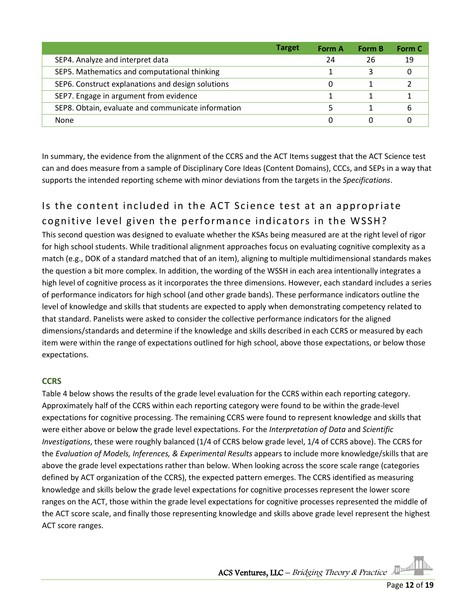|                                                    | <b>Target</b> | Form A | <b>Form B</b> | Form C |
|----------------------------------------------------|---------------|--------|---------------|--------|
| SEP4. Analyze and interpret data                   |               | 24     | 26            | 19     |
| SEP5. Mathematics and computational thinking       |               |        |               |        |
| SEP6. Construct explanations and design solutions  |               | 0      |               |        |
| SEP7. Engage in argument from evidence             |               |        |               |        |
| SEP8. Obtain, evaluate and communicate information |               |        |               | 6      |
| None                                               |               | 0      |               |        |

In summary, the evidence from the alignment of the CCRS and the ACT Items suggest that the ACT Science test can and does measure from a sample of Disciplinary Core Ideas (Content Domains), CCCs, and SEPs in a way that supports the intended reporting scheme with minor deviations from the targets in the *Specifications*.

# Is the content included in the ACT Science test at an appropriate cognitive level given the performance indicators in the WSSH?

This second question was designed to evaluate whether the KSAs being measured are at the right level of rigor for high school students. While traditional alignment approaches focus on evaluating cognitive complexity as a match (e.g., DOK of a standard matched that of an item), aligning to multiple multidimensional standards makes the question a bit more complex. In addition, the wording of the WSSH in each area intentionally integrates a high level of cognitive process as it incorporates the three dimensions. However, each standard includes a series of performance indicators for high school (and other grade bands). These performance indicators outline the level of knowledge and skills that students are expected to apply when demonstrating competency related to that standard. Panelists were asked to consider the collective performance indicators for the aligned dimensions/standards and determine if the knowledge and skills described in each CCRS or measured by each item were within the range of expectations outlined for high school, above those expectations, or below those expectations.

#### **CCRS**

Table 4 below shows the results of the grade level evaluation for the CCRS within each reporting category. Approximately half of the CCRS within each reporting category were found to be within the grade-level expectations for cognitive processing. The remaining CCRS were found to represent knowledge and skills that were either above or below the grade level expectations. For the *Interpretation of Data* and *Scientific Investigations*, these were roughly balanced (1/4 of CCRS below grade level, 1/4 of CCRS above). The CCRS for the *Evaluation of Models, Inferences, & Experimental Results* appears to include more knowledge/skills that are above the grade level expectations rather than below. When looking across the score scale range (categories defined by ACT organization of the CCRS), the expected pattern emerges. The CCRS identified as measuring knowledge and skills below the grade level expectations for cognitive processes represent the lower score ranges on the ACT, those within the grade level expectations for cognitive processes represented the middle of the ACT score scale, and finally those representing knowledge and skills above grade level represent the highest ACT score ranges.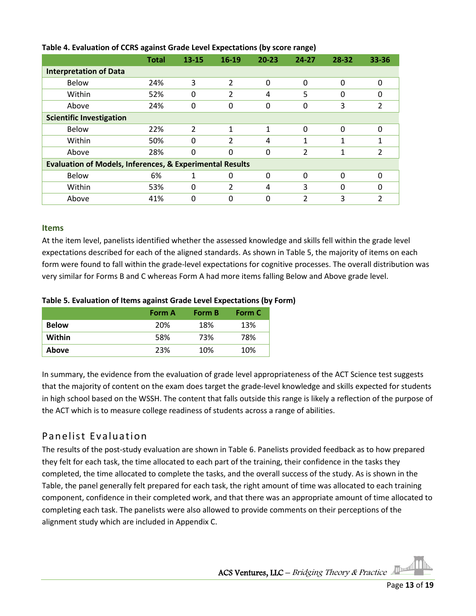|                                                                     | ັ            |                |                          |           | . .           |          |          |
|---------------------------------------------------------------------|--------------|----------------|--------------------------|-----------|---------------|----------|----------|
|                                                                     | <b>Total</b> | $13 - 15$      | $16 - 19$                | $20 - 23$ | $24 - 27$     | 28-32    | 33-36    |
| <b>Interpretation of Data</b>                                       |              |                |                          |           |               |          |          |
| <b>Below</b>                                                        | 24%          | 3              | 2                        | 0         | 0             | 0        | 0        |
| Within                                                              | 52%          | $\Omega$       | 2                        | 4         | 5             | 0        | $\Omega$ |
| Above                                                               | 24%          | 0              | 0                        | 0         | 0             | 3        | 2        |
| <b>Scientific Investigation</b>                                     |              |                |                          |           |               |          |          |
| <b>Below</b>                                                        | 22%          | $\overline{2}$ | 1                        | 1         | 0             | $\Omega$ | $\Omega$ |
| Within                                                              | 50%          | $\Omega$       | $\overline{\mathcal{L}}$ | 4         | 1             | 1        |          |
| Above                                                               | 28%          | $\Omega$       | 0                        | 0         | 2             | 1        | 2        |
| <b>Evaluation of Models, Inferences, &amp; Experimental Results</b> |              |                |                          |           |               |          |          |
| <b>Below</b>                                                        | 6%           | 1              | 0                        | 0         | 0             | $\Omega$ | $\Omega$ |
| Within                                                              | 53%          | 0              | 2                        | 4         | 3             | 0        | 0        |
| Above                                                               | 41%          | $\Omega$       | 0                        | 0         | $\mathcal{P}$ | 3        | 2        |

#### **Table 4. Evaluation of CCRS against Grade Level Expectations (by score range)**

#### **Items**

At the item level, panelists identified whether the assessed knowledge and skills fell within the grade level expectations described for each of the aligned standards. As shown in Table 5, the majority of items on each form were found to fall within the grade-level expectations for cognitive processes. The overall distribution was very similar for Forms B and C whereas Form A had more items falling Below and Above grade level.

#### **Table 5. Evaluation of Items against Grade Level Expectations (by Form)**

|              | <b>Form A</b> | Form B | Form C |
|--------------|---------------|--------|--------|
| <b>Below</b> | 20%           | 18%    | 13%    |
| Within       | 58%           | 73%    | 78%    |
| Above        | 23%           | 10%    | 10%    |

In summary, the evidence from the evaluation of grade level appropriateness of the ACT Science test suggests that the majority of content on the exam does target the grade-level knowledge and skills expected for students in high school based on the WSSH. The content that falls outside this range is likely a reflection of the purpose of the ACT which is to measure college readiness of students across a range of abilities.

#### <span id="page-12-0"></span>Panelist Evaluation

The results of the post-study evaluation are shown in Table 6. Panelists provided feedback as to how prepared they felt for each task, the time allocated to each part of the training, their confidence in the tasks they completed, the time allocated to complete the tasks, and the overall success of the study. As is shown in the Table, the panel generally felt prepared for each task, the right amount of time was allocated to each training component, confidence in their completed work, and that there was an appropriate amount of time allocated to completing each task. The panelists were also allowed to provide comments on their perceptions of the alignment study which are included in Appendix C.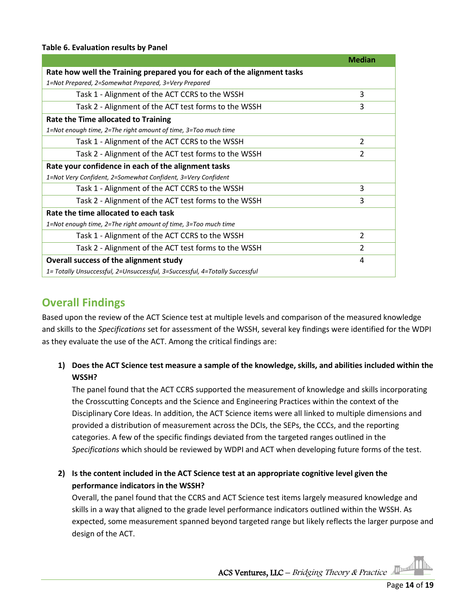#### **Table 6. Evaluation results by Panel**

|                                                                             | <b>Median</b>            |
|-----------------------------------------------------------------------------|--------------------------|
| Rate how well the Training prepared you for each of the alignment tasks     |                          |
| 1=Not Prepared, 2=Somewhat Prepared, 3=Very Prepared                        |                          |
| Task 1 - Alignment of the ACT CCRS to the WSSH                              | 3                        |
| Task 2 - Alignment of the ACT test forms to the WSSH                        | 3                        |
| <b>Rate the Time allocated to Training</b>                                  |                          |
| 1=Not enough time, 2=The right amount of time, 3=Too much time              |                          |
| Task 1 - Alignment of the ACT CCRS to the WSSH                              | $\overline{\mathcal{L}}$ |
| Task 2 - Alignment of the ACT test forms to the WSSH                        | 2                        |
| Rate your confidence in each of the alignment tasks                         |                          |
| 1=Not Very Confident, 2=Somewhat Confident, 3=Very Confident                |                          |
| Task 1 - Alignment of the ACT CCRS to the WSSH                              | 3                        |
| Task 2 - Alignment of the ACT test forms to the WSSH                        | 3                        |
| Rate the time allocated to each task                                        |                          |
| 1=Not enough time, 2=The right amount of time, 3=Too much time              |                          |
| Task 1 - Alignment of the ACT CCRS to the WSSH                              | $\mathfrak{p}$           |
| Task 2 - Alignment of the ACT test forms to the WSSH                        | $\overline{2}$           |
| Overall success of the alignment study                                      | 4                        |
| 1= Totally Unsuccessful, 2=Unsuccessful, 3=Successful, 4=Totally Successful |                          |

### <span id="page-13-0"></span>**Overall Findings**

Based upon the review of the ACT Science test at multiple levels and comparison of the measured knowledge and skills to the *Specifications* set for assessment of the WSSH, several key findings were identified for the WDPI as they evaluate the use of the ACT. Among the critical findings are:

#### **1) Does the ACT Science test measure a sample of the knowledge, skills, and abilities included within the WSSH?**

The panel found that the ACT CCRS supported the measurement of knowledge and skills incorporating the Crosscutting Concepts and the Science and Engineering Practices within the context of the Disciplinary Core Ideas. In addition, the ACT Science items were all linked to multiple dimensions and provided a distribution of measurement across the DCIs, the SEPs, the CCCs, and the reporting categories. A few of the specific findings deviated from the targeted ranges outlined in the *Specifications* which should be reviewed by WDPI and ACT when developing future forms of the test.

#### **2) Is the content included in the ACT Science test at an appropriate cognitive level given the performance indicators in the WSSH?**

Overall, the panel found that the CCRS and ACT Science test items largely measured knowledge and skills in a way that aligned to the grade level performance indicators outlined within the WSSH. As expected, some measurement spanned beyond targeted range but likely reflects the larger purpose and design of the ACT.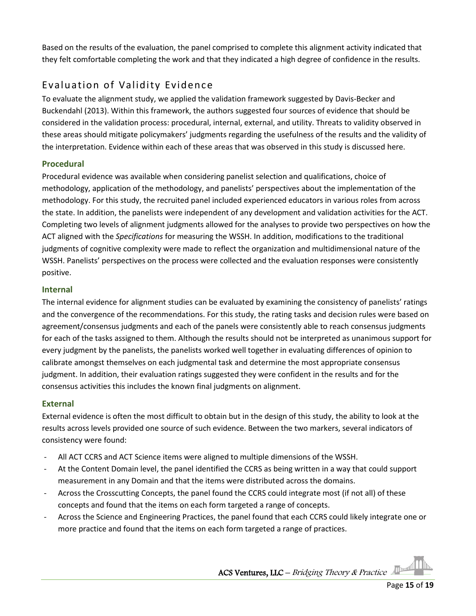Based on the results of the evaluation, the panel comprised to complete this alignment activity indicated that they felt comfortable completing the work and that they indicated a high degree of confidence in the results.

### <span id="page-14-0"></span>Evaluation of Validity Evidence

To evaluate the alignment study, we applied the validation framework suggested by Davis-Becker and Buckendahl (2013). Within this framework, the authors suggested four sources of evidence that should be considered in the validation process: procedural, internal, external, and utility. Threats to validity observed in these areas should mitigate policymakers' judgments regarding the usefulness of the results and the validity of the interpretation. Evidence within each of these areas that was observed in this study is discussed here.

#### **Procedural**

Procedural evidence was available when considering panelist selection and qualifications, choice of methodology, application of the methodology, and panelists' perspectives about the implementation of the methodology. For this study, the recruited panel included experienced educators in various roles from across the state. In addition, the panelists were independent of any development and validation activities for the ACT. Completing two levels of alignment judgments allowed for the analyses to provide two perspectives on how the ACT aligned with the *Specifications* for measuring the WSSH. In addition, modifications to the traditional judgments of cognitive complexity were made to reflect the organization and multidimensional nature of the WSSH. Panelists' perspectives on the process were collected and the evaluation responses were consistently positive.

#### **Internal**

The internal evidence for alignment studies can be evaluated by examining the consistency of panelists' ratings and the convergence of the recommendations. For this study, the rating tasks and decision rules were based on agreement/consensus judgments and each of the panels were consistently able to reach consensus judgments for each of the tasks assigned to them. Although the results should not be interpreted as unanimous support for every judgment by the panelists, the panelists worked well together in evaluating differences of opinion to calibrate amongst themselves on each judgmental task and determine the most appropriate consensus judgment. In addition, their evaluation ratings suggested they were confident in the results and for the consensus activities this includes the known final judgments on alignment.

#### **External**

External evidence is often the most difficult to obtain but in the design of this study, the ability to look at the results across levels provided one source of such evidence. Between the two markers, several indicators of consistency were found:

- All ACT CCRS and ACT Science items were aligned to multiple dimensions of the WSSH.
- At the Content Domain level, the panel identified the CCRS as being written in a way that could support measurement in any Domain and that the items were distributed across the domains.
- Across the Crosscutting Concepts, the panel found the CCRS could integrate most (if not all) of these concepts and found that the items on each form targeted a range of concepts.
- Across the Science and Engineering Practices, the panel found that each CCRS could likely integrate one or more practice and found that the items on each form targeted a range of practices.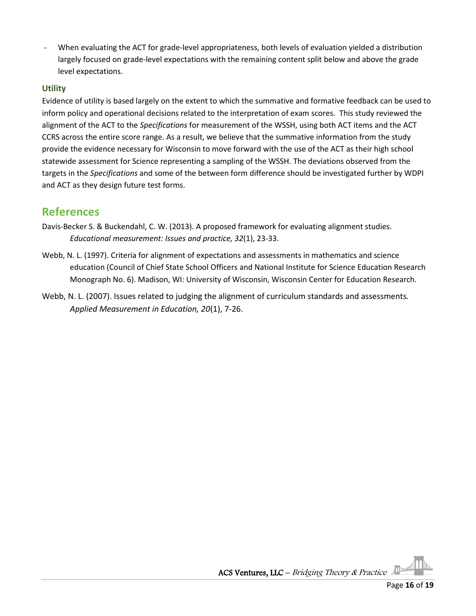When evaluating the ACT for grade-level appropriateness, both levels of evaluation yielded a distribution largely focused on grade-level expectations with the remaining content split below and above the grade level expectations.

#### **Utility**

Evidence of utility is based largely on the extent to which the summative and formative feedback can be used to inform policy and operational decisions related to the interpretation of exam scores. This study reviewed the alignment of the ACT to the *Specifications* for measurement of the WSSH, using both ACT items and the ACT CCRS across the entire score range. As a result, we believe that the summative information from the study provide the evidence necessary for Wisconsin to move forward with the use of the ACT as their high school statewide assessment for Science representing a sampling of the WSSH. The deviations observed from the targets in the *Specifications* and some of the between form difference should be investigated further by WDPI and ACT as they design future test forms.

### <span id="page-15-0"></span>**References**

- Davis-Becker S. & Buckendahl, C. W. (2013). A proposed framework for evaluating alignment studies. *Educational measurement: Issues and practice, 32*(1), 23-33.
- Webb, N. L. (1997). Criteria for alignment of expectations and assessments in mathematics and science education (Council of Chief State School Officers and National Institute for Science Education Research Monograph No. 6). Madison, WI: University of Wisconsin, Wisconsin Center for Education Research.
- Webb, N. L. (2007). Issues related to judging the alignment of curriculum standards and assessments*. Applied Measurement in Education, 20*(1), 7-26.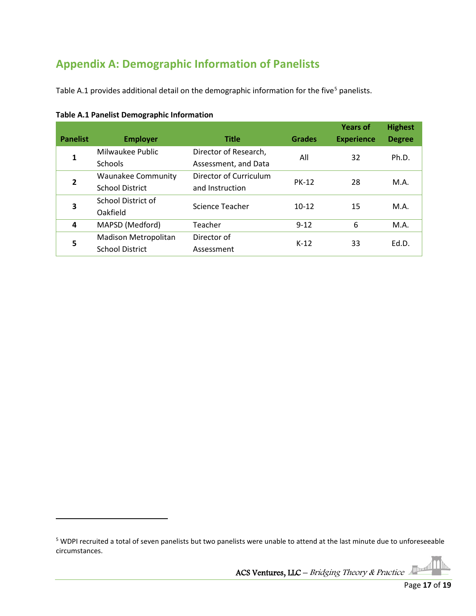# <span id="page-16-0"></span>**Appendix A: Demographic Information of Panelists**

Table A.1 provides additional detail on the demographic information for the five<sup>[5](#page-16-1)</sup> panelists.

| <b>Panelist</b> | <b>Employer</b>           | <b>Title</b>           | <b>Grades</b> | <b>Years of</b><br><b>Experience</b> | <b>Highest</b><br><b>Degree</b> |
|-----------------|---------------------------|------------------------|---------------|--------------------------------------|---------------------------------|
| 1               | Milwaukee Public          | Director of Research,  | All           | 32                                   | Ph.D.                           |
|                 | <b>Schools</b>            | Assessment, and Data   |               |                                      |                                 |
| $\overline{2}$  | <b>Waunakee Community</b> | Director of Curriculum | <b>PK-12</b>  | 28                                   | M.A.                            |
|                 | <b>School District</b>    | and Instruction        |               |                                      |                                 |
| 3               | School District of        | Science Teacher        | $10 - 12$     | 15                                   | M.A.                            |
|                 | Oakfield                  |                        |               |                                      |                                 |
| 4               | MAPSD (Medford)           | Teacher                | $9 - 12$      | 6                                    | M.A.                            |
| 5               | Madison Metropolitan      | Director of            | $K-12$        | 33                                   | Ed.D.                           |
|                 | <b>School District</b>    | Assessment             |               |                                      |                                 |

**Table A.1 Panelist Demographic Information**

<span id="page-16-1"></span><sup>&</sup>lt;sup>5</sup> WDPI recruited a total of seven panelists but two panelists were unable to attend at the last minute due to unforeseeable circumstances.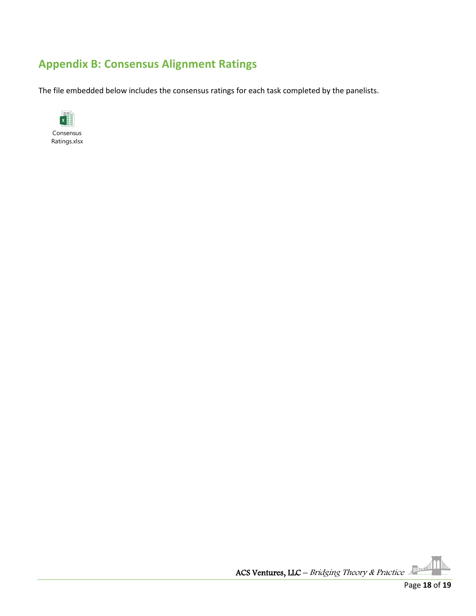# <span id="page-17-0"></span>**Appendix B: Consensus Alignment Ratings**

The file embedded below includes the consensus ratings for each task completed by the panelists.